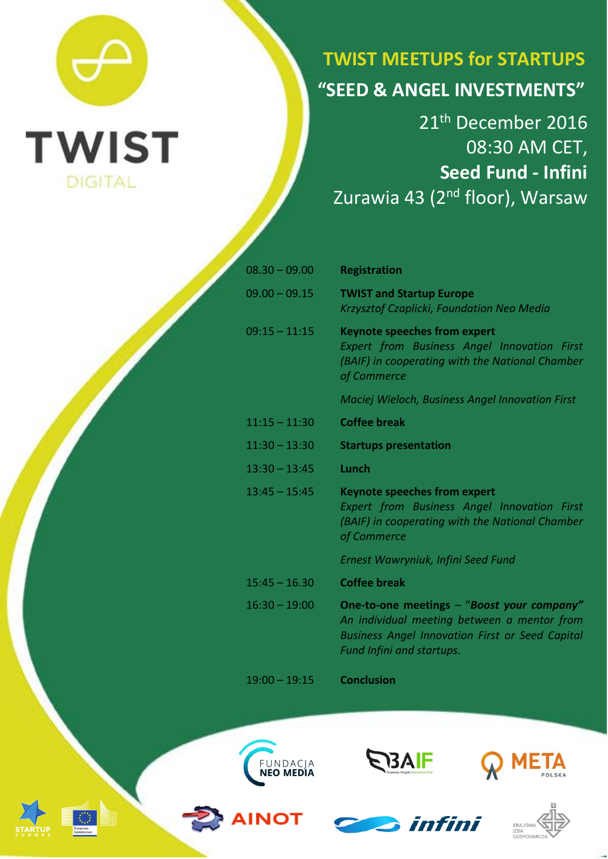

## **TWIST MEETUPS for STARTUPS "SEED & ANGEL INVESTMENTS"**

21<sup>th</sup> December 2016 08:30 AM CET, **Seed Fund - Infini** Zurawia 43 (2<sup>nd</sup> floor), Warsaw

| $08.30 - 09.00$ | <b>Registration</b>                                                                                                                                                              |
|-----------------|----------------------------------------------------------------------------------------------------------------------------------------------------------------------------------|
| $09.00 - 09.15$ | <b>TWIST and Startup Europe</b><br>Krzysztof Czaplicki, Foundation Neo Media                                                                                                     |
| $09:15 - 11:15$ | <b>Keynote speeches from expert</b><br><b>Expert from Business Angel Innovation First</b><br>(BAIF) in cooperating with the National Chamber<br>of Commerce                      |
|                 | <b>Maciej Wieloch, Business Angel Innovation First</b>                                                                                                                           |
| $11:15 - 11:30$ | <b>Coffee break</b>                                                                                                                                                              |
| $11:30 - 13:30$ | <b>Startups presentation</b>                                                                                                                                                     |
| $13:30 - 13:45$ | Lunch                                                                                                                                                                            |
| $13:45 - 15:45$ | <b>Keynote speeches from expert</b><br><b>Expert from Business Angel Innovation First</b><br>(BAIF) in cooperating with the National Chamber<br>of Commerce                      |
|                 | Ernest Wawryniuk, Infini Seed Fund                                                                                                                                               |
| $15:45 - 16.30$ | <b>Coffee break</b>                                                                                                                                                              |
| $16:30 - 19:00$ | One-to-one meetings - "Boost your company"<br>An individual meeting between a mentor from<br><b>Business Angel Innovation First or Seed Capital</b><br>Fund Infini and startups. |

19:00 – 19:15 **Conclusion**









**NOT** 



**S** infini



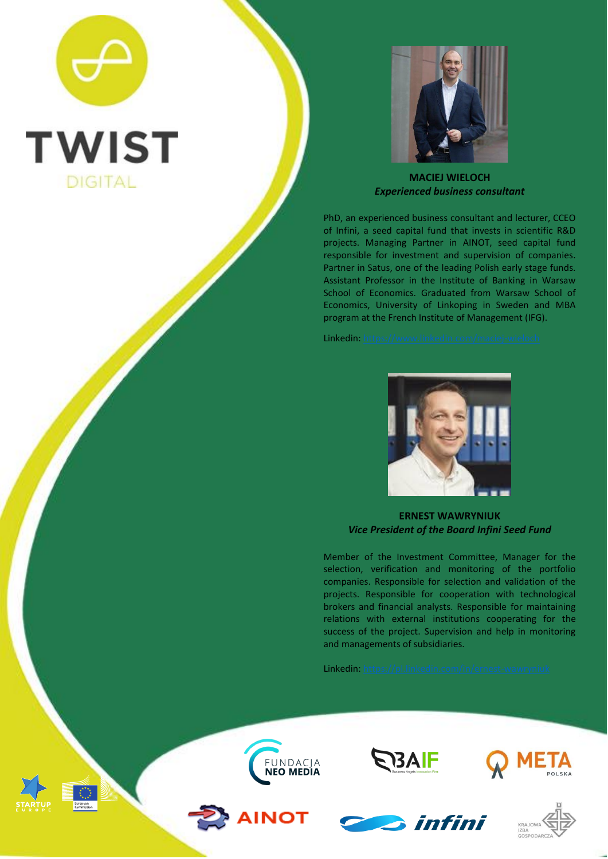## **TWIST DIGITAL**



**MACIEJ WIELOCH** *Experienced business consultant*

PhD, an experienced business consultant and lecturer, CCEO of Infini, a seed capital fund that invests in scientific R&D projects. Managing Partner in AINOT, seed capital fund responsible for investment and supervision of companies. Partner in Satus, one of the leading Polish early stage funds. Assistant Professor in the Institute of Banking in Warsaw School of Economics. Graduated from Warsaw School of Economics, University of Linkoping in Sweden and MBA program at the French Institute of Management (IFG).

Linkedin:



**ERNEST WAWRYNIUK** *Vice President of the Board Infini Seed Fund*

Member of the Investment Committee, Manager for the selection, verification and monitoring of the portfolio companies. Responsible for selection and validation of the projects. Responsible for cooperation with technological brokers and financial analysts. Responsible for maintaining relations with external institutions cooperating for the success of the project. Supervision and help in monitoring and managements of subsidiaries.

Linkedin: [https://pl.linkedin.com/in/ernest-wawryniuk](https://pl.linkedin.com/in/ernest-wawryniuk-ab6a3aa0)

**S**infini





**AINOT**